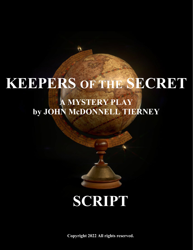# **KEEPERS OF THE SECRET**

## **A MYSTERY PLAY by JOHN McDONNELL TIERNEY**



**Copyright 2022 All rights reserved.**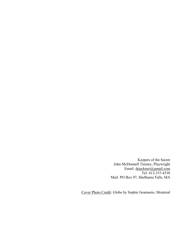Keepers of the Secret John McDonnell Tierney, Playwright Email: [drjackmct@gmail.com](mailto:drjackmct@gmail.com) Tel: 413-337-4338 Mail: PO Box 97, Shelburne Falls, MA

Cover Photo Credit: Globe by Sophie Iwamaoto, Montreal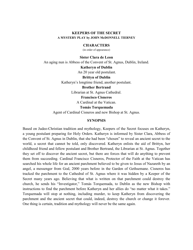#### **KEEPERS OF THE SECRET A MYSTERY PLAY by JOHN McDONNELL TIERNEY**

#### **CHARACTERS**

(in order of appearance)

**Sister Clara de Leon** An aging nun is Abbess of the Convent of St. Agnus, Dublin, Ireland. **Katheryn of Dublin**

An 20 year old postulant.

**Brittyn of Dublin**

Katheryn's longtime friend, another postulant.

#### **Brother Bertrand**

Librarian at St. Agnus Cathedral.

#### **Francisco Cisneros**

A Cardinal at the Vatican.

## **Tomás Torquemada**

Agent of Cardinal Cisneros and new Bishop at St. Agnus.

#### **SYNOPSIS**

Based on Judeo-Christian tradition and mythology, Keepers of the Secret focuses on Katheryn, a young postulant preparing for Holy Orders. Katheryn is informed by Sister Clara, Abbess of the Convent of St. Agnus in Dublin, that she had been "chosen" to reveal an ancient secret to the world, a secret that cannot be told, only discovered. Katheryn enlists the aid of Brittyn, her childhood friend and fellow postulant and Brother Bertrand, the Librarian at St. Agnus. Together they set off to discover the ancient secret, but there are forces that will do anything to prevent them from succeeding. Cardinal Francisco Cisneros, Protector of the Faith at the Vatican has searched his whole life for an ancient parchment believed to be given to Jesus of Nazareth by an angel, a messenger from God, 2000 years before in the Garden of Gethsemane. Cisneros has tracked the parchment to the Cathedral of St. Agnus where it was hidden by a Keeper of the Secret many years ago. Believing that what is written on that parchment could destroy the church, he sends his "Investigator," Tomás Torquemada, to Dublin as the new Bishop with instructions to find the parchment before Katheryn and her allies do "no matter what it takes." Torquemada will stop at nothing, including murder, to keep Katheryn from discovering the parchment and the ancient secret that could, indeed, destroy the church or change it forever. One thing is certain, tradition and mythology will never be the same again.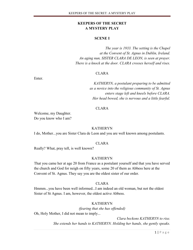## **KEEPERS OF THE SECRET A MYSTERY PLAY**

#### **SCENE I**

*The year is 1933. The setting is the Chapel at the Convent of St. Agnus in Dublin, Ireland. An aging nun, SISTER CLARA DE LEON, is seen at prayer. There is a knock at the door. CLARA crosses herself and rises.*

#### CLARA

Enter.

*KATHERYN, a postulant preparing to be admitted as a novice into the religious community of St. Agnus enters stage left and kneels before CLARA. Her head bowed, she is nervous and a little fearful.* 

#### CLARA

Welcome, my Daughter. Do you know who I am?

#### KATHERYN

I do, Mother...you are Sister Clara de Leon and you are well known among postulants.

#### CLARA

Really? What, pray tell, is well known?

#### KATHERYN

That you came her at age 20 from France as a postulant yourself and that you have served the church and God for neigh on fifty years, some 20 of them as Abbess here at the Convent of St. Agnus. They say you are the oldest sister of our order.

#### CLARA

Hmmm...you have been well informed...I am indeed an old woman, but not the oldest Sister of St Agnus. I am, however, the oldest active Abbess.

#### KATHERYN

*(fearing that she has offended)*  Oh, Holy Mother, I did not mean to imply...

> *Clara beckons KATHERYN to rise. She extends her hands to KATHERYN. Holding her hands, she gently speaks.*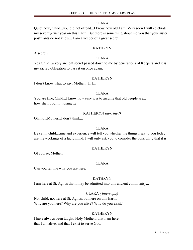## CLARA

Quiet now, Child...you did not offend...I know how old I am. Very soon I will celebrate my seventy-first year on this Earth. But there is something about me you that your sister postulants do not know... I am a keeper of a great secret.

## KATHRYN

A secret?

## CLARA

Yes Child...a very ancient secret passed down to me by generations of Keepers and it is my sacred obligation to pass it on once again.

## KATHERYN

I don't know what to say, Mother...I...I...

## CLARA

You are fine, Child...I know how easy it is to assume that old people are... how shall I put it...losing it?

## KATHERYN *(horrified)*

Oh, no...Mother...I don't think...

## CLARA

Be calm, child...time and experience will tell you whether the things I say to you today are the workings of a lucid mind. I will only ask you to consider the possibility that it is.

## KATHERYN

Of course, Mother.

## CLARA

Can you tell me why you are here.

## KATHRYN

I am here at St. Agnus that I may be admitted into this ancient community...

## CLARA *( interrupts)*

No, child, not here at St. Agnus, but here on this Earth. Why are you here? Why are you alive? Why do you exist?

## KATHERYN

I have always been taught, Holy Mother...that I am here, that I am alive, and that I exist to serve God.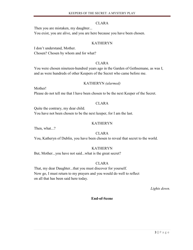## CLARA

Then you are mistaken, my daughter...

You exist, you are alive, and you are here because you have been chosen.

## KATHERYN

I don't understand, Mother. Chosen? Chosen by whom and for what?

## CLARA

You were chosen nineteen-hundred years ago in the Garden of Gethsemane, as was I, and as were hundreds of other Keepers of the Secret who came before me.

## KATHERYN *(alarmed)*

Mother!

Please do not tell me that I have been chosen to be the next Keeper of the Secret.

## CLARA

Quite the contrary, my dear child. You have not been chosen to be the next keeper, for I am the last.

## KATHERYN

Then, what...?

## CLARA

You, Katheryn of Dublin, you have been chosen to reveal that secret to the world.

## KATHERYN

But, Mother...you have not said...what is the great secret?

## CLARA

That, my dear Daughter...that you must discover for yourself. Now go, I must return to my prayers and you would do well to reflect on all that has been said here today.

*Lights down.*

## **End-of-Scene**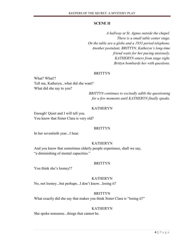#### **SCENE II**

*A hallway at St. Agnus outside the chapel. There is a small table center stage. On the table are a globe and a 1933 period telephone. Another postulant, BRITTYN, Katheryn's long-time friend waits for her pacing anxiously. KATHERYN enters from stage right. Brittyn bombards her with questions.*

#### BRITTYN

What? What!? Tell me, Katheryn...what did she want? What did she say to you?

> *BRITTYN continues to excitedly adlib the questioning for a few moments until KATHERYN finally speaks.*

#### KATHERYN

Enough! Quiet and I will tell you. You know that Sister Clara is very old?

#### BRITTYN

In her seventieth year...I hear.

## KATHERYN

And you know that sometimes elderly people experience, shall we say, "a diminishing of mental capacities."

#### BRITTYN

You think she's looney!?

#### KATHERYN

No, not looney...but perhaps...I don't know...losing it?

## BRITTYN

What exactly did she say that makes you think Sister Clara is "losing it?"

#### KATHERYN

She spoke nonsense...things that cannot be.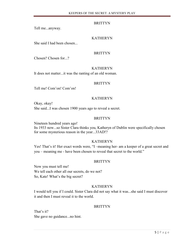Tell me...anyway.

## KATHERYN

She said I had been chosen...

## BRITTYN

Chosen? Chosen for...?

#### KATHERYN

It does not matter...it was the ranting of an old woman.

## BRITTYN

Tell me! Com'on! Com'on!

## KATHERYN

Okay, okay! She said...I was chosen 1900 years ago to reveal a secret.

## BRITTYN

Nineteen hundred years ago! Its 1933 now...so Sister Clara thinks you, Katheryn of Dublin were specifically chosen for some mysterious reason in the year...33AD!?

## KATHERYN

Yes! That's it! Her exact words were, "I –meaning her- am a keeper of a great secret and you – meaning me - have been chosen to reveal that secret to the world."

## BRITTYN

Now you must tell me! We tell each other all our secrets, do we not? So, Kate! What's the big secret?

## KATHERYN

I would tell you if I could. Sister Clara did not say what it was...she said I must discover it and then I must reveal it to the world.

## BRITTYN

That's it? She gave no guidance...no hint.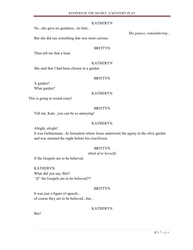## KATHERYN

No...she gave no guidance...no hint...

But she did say something that was most curious.

#### BRITTYN

Then tell me that a least.

## KATHERYN

She said that I had been chosen in a garden.

#### BRITTYN

A garden? What garden?

#### KATHERYN

This is going to sound crazy!

#### BRITTYN

Tell me, Kate...you can be so annoying!

## KATHERYN

Alright, alright!

It was Gethsemane...In Jerusalem where Jesus underwent the agony in the olive garden and was arrested the night before his crucifixion.

## **BRITTYN**

#### *(kind of to herself)*

If the Gospels are to be believed.

KATHERYN What did you say, Brit? *"If"* the Gospels are to be believed?!!

## **BRITTYN**

It was just a figure of speech... of course they are to be believed...but...

## KATHERYN

But?

*She pauses, remembering...*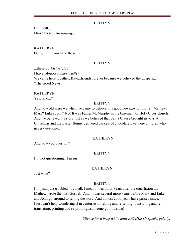But...still... I have these... *(hesitating)...*

KATHERYN Out with it...you have these...?

## **BRITTYN**

...these doubts! *(sighs)* I have...doubts *(almost sadly)* We came here together, Kate...friends forever because we believed the gospels... "The Good News!"

## KATHERYN

Yes...and...?

## BRITTYN

And how old were we when we came to believe this good news...who told us...Mathew? Mark? Luke? John? No! It was Father McMurphy in the basement of Holy Cross church. And we believed his story just as we believed that Santa Clause brought us toys at Christmas and the Easter Bunny delivered baskets of chocolate...we were children who never questioned.

## KATHERYN

And now you question?

## **BRITTYN**

I'm not questioning...I'm just...

## KATHERYN

Just what?

## **BRITTYN**

I'm just...just troubled...by it all. I mean it was forty-years after the crucifixion that Mathew wrote the first Gospel. And, it was several more years before Mark and Luke and John got around to telling the story. And almost 2000 years have passed since. I just can't help wondering if in centuries of telling and re-telling, translating and retranslating, printing and re-printing...someone got it wrong!

*Silence for a brief while until KATHERYN speaks quietly.*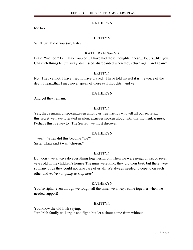## KATHERYN

Me too.

## BRITTYN

What...what did you say, Kate?

## KATHERYN *(louder)*

I said, "me too." I am also troubled... I have had these thoughts...these...doubts...like you. Can such things be put away, dismissed, disregarded when they return again and again?

## BRITTYN

No...They cannot. I have tried...I have prayed...I have told myself it is the voice of the devil I hear...that I may never speak of these evil thoughts...and yet...

## KATHERYN

And yet they remain.

## **BRITTYN**

Yes, they remain, unspoken...even among us true friends who tell all our secrets... this secret we have tolerated in silence...never spoken aloud until this moment. *(pause)* Perhaps this is a key to "The Secret" we must discover

## KATHERYN

*"We!?"* When did this become "we?" Sister Clara said *I* was "chosen."

## **BRITTYN**

But, don't we always do everything together...from when we were neigh on six or seven years old in the children's home? The nuns were kind, they did their best, but there were so many of us they could not take care of us all. We always needed to depend on each other and *we're not going to stop now!*

## KATHERYN

You're right...even though we fought all the time, we always came together when we needed support!

## **BRITTYN**

You know the old Irish saying, "An Irish family will argue and fight, but let a shout come from without...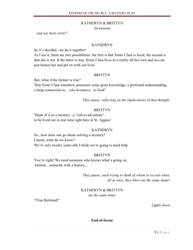#### KATHERYN & BRITTYN

*(in unison)*

...and see them unite!"

#### KATHERYN

So it's decided...we do it together!

As I see it, there are two possibilities: the first is that Sister Clara is lucid; the second is that she is not. If the latter is true, Sister Clara lives in a reality all her own and we can just humor her and get on with our lives.

#### BRITTYN

But, what if the former is true?

That Sister Clara somehow possesses some great knowledge, a profound understanding, a deep connection to*... (she hesitates)...*to God?

*They pause, reflecting on the implications of that thought.*

## **BRITTYN**

Think of it as a mystery...a "call to adventure" to be lived out in real time right here at St. Aggies!

#### KATHERYN

So...how does one go about solving a mystery? I mean, what do we know? We're only twenty years old; I think we're going to need help.

## **BRITTYN**

You're right! We need someone who knows what's going on, hmmm....someone with a history...

> *They pause, each trying to think of whom to recruit when, all at once, they blurt out the same name!*

KATHERYN & BRITTYN *(at the same time)*

"Friar Bertrand!"

*Lights down*

**End-of-Scene**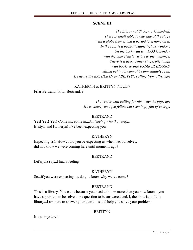## **SCENE III**

*The Library at St. Agnus Cathedral. There is small table to one side of the stage with a globe (same) and a period telephone on it. In the rear is a back-lit stained-glass window. On the back wall is a 1933 Calendar with the date clearly visible to the audience. There is a desk, center stage, piled high with books so that FRIAR BERTRAND sitting behind it cannot be immediately seen. He hears the KATHERYN and BRITTYN calling from off-stage!*

## KATHERYN & BRITTYN *(ad lib!)*

Friar Bertrand...Friar Bertrand??

*They enter, still calling for him when he pops up! He is clearly an aged fellow but seemingly full of energy.*

## BERTRAND

Yes! Yes! Yes! Come in.. come in...Ah *(seeing who they are)...* Brittyn, and Katheryn! I've been expecting you.

## KATHERYN

Expecting us!? How could you be expecting us when we, ourselves, did not know we were coming here until moments ago?

## BERTRAND

Let's just say...I had a feeling.

## KATHERYN

So...if you were expecting us, do you know why we've come?

## BERTRAND

This is a library. You came because you need to know more than you now know...you have a problem to be solved or a question to be answered and, I, the librarian of this library...I am here to answer your questions and help you solve your problem.

## **BRITTYN**

It's a "mystery!"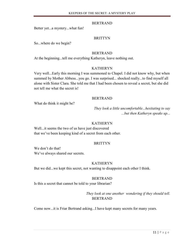## BERTRAND

Better yet...a mystery...what fun!

## BRITTYN

So...where do we begin?

## BERTRAND

At the beginning...tell me everything Katheryn, leave nothing out.

## KATHERYN

Very well...Early this morning I was summoned to Chapel. I did not know why, but when summed by Mother Abbess...you go. I was surprised... shocked really...to find myself all alone with Sister Clara. She told me that I had been chosen to reveal a secret, but she did not tell me what the secret is!

## BERTRAND

What do think it might be?

*They look a little uncomfortable...hesitating to say ...but then Katheryn speaks up...*

## KATHERYN

Well...it seems the two of us have just discovered that we've been keeping kind of a secret from each other.

## **BRITTYN**

We don't do that! We've always shared our secrets.

## KATHERYN

But we did...we kept this secret, not wanting to disappoint each other I think.

## BERTRAND

Is this a secret that cannot be told to your librarian?

*They look at one another wondering if they should tell.* BERTRAND

Come now...it is Friar Bertrand asking...I have kept many secrets for many years.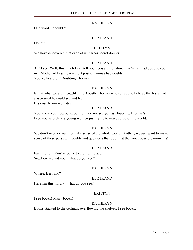## KATHERYN

One word... "doubt."

## BERTRAND

Doubt?

## BRITTYN

We have discovered that each of us harbor secret doubts.

## BERTRAND

Ah! I see. Well, this much I can tell you...you are not alone...we've all had doubts: you, me, Mother Abbess...even the Apostle Thomas had doubts. You've heard of "Doubting Thomas?"

## KATHERYN

Is that what we are then...like the Apostle Thomas who refused to believe the Jesus had arisen until he could see and feel

His crucifixion wounds?

## BERTRAND

You know your Gospels...but no...I do not see you as Doubting Thomas's... I see you as ordinary young women just trying to make sense of the world.

## KATHERYN

We don't need or want to make sense of the whole world, Brother; we just want to make sense of these persistent doubts and questions that pop in at the worst possible moments!

## BERTRAND

Fair enough! You've come to the right place. So...look around you...what do you see?

## KATHERYN

Where, Bertrand?

## BERTRAND

Here...in this library...what do you see?

## BRITTYN

I see books! Many books!

## KATHERYN

Books stacked to the ceilings, overflowing the shelves, I see books.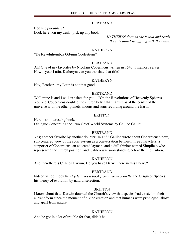#### BERTRAND

Books by *doubters!*

Look here...on my desk...pick up any book.

*KATHERYN does as she is told and reads the title aloud struggling with the Latin.*

#### KATHERYN

"De Revolutionibus Orbium Coelestium"

#### BERTRAND

Ah! One of my favorites by Nicolaus Copernicus written in 1543 if memory serves. How's your Latin, Katheryn; can you translate that title?

#### KATHERYN

Nay, Brother...my Latin is not that good.

#### BERTRAND

Well mine is and I will translate for you.... "On the Revolutions of Heavenly Spheres." You see, Copernicus doubted the church belief that Earth was at the center of the universe with the other planets, moons and stars revolving around the Earth.

#### **BRITTYN**

Here's an interesting book. Dialogue Concerning the Two Chief World Systems by Galileo Galilei.

#### BERTRAND

Yes; another favorite by another doubter! In 1632 Galileo wrote about Copernicus's new, sun-centered view of the solar system as a conversation between three characters; a supporter of Copernicus, an educated layman, and a dull thinker named Simplicio who represented the church position, and Galileo was soon standing before the Inquisition.

#### KATHERYN

And then there's Charles Darwin. Do you have Darwin here in this library?

#### BERTRAND

Indeed we do. Look here! *(He takes a book from a nearby shelf)* The Origin of Species, his theory of evolution by natural selection.

#### BRITTYN

I know about that! Darwin doubted the Church's view that species had existed in their current form since the moment of divine creation and that humans were privileged, above and apart from nature.

## KATHERYN

And he got in a lot of trouble for that, didn't he!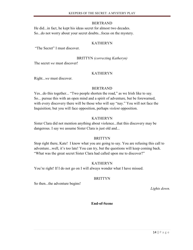#### BERTRAND

He did...in fact, he kept his ideas secret for almost two decades. So...do not worry about your secret doubts...focus on the mystery.

## KATHERYN

"The Secret" I must discover.

BRITTYN *(correcting Katheryn)*

The secret *we* must discover!

## KATHERYN

Right...*we* must discover.

## BERTRAND

Yes...do this together... "Two people shorten the road," as we Irish like to say. So... pursue this with an open mind and a spirit of adventure, but be forewarned, with every discovery there will be those who will say "nay." You will not face the Inquisition; but you will face opposition, perhaps *violent* opposition.

## KATHERYN

Sister Clara did not mention anything about violence...that this discovery may be dangerous. I say we assume Sister Clara is just old and...

## BRITTYN

Stop right there, Kate! I know what you are going to say. You are refusing this call to adventure...well, it's too late! You can try, but the questions will keep coming back. "What was the great secret Sister Clara had called upon me to discover?"

## KATHERYN

You're right! If I do not go on I will always wonder what I have missed.

## **BRITTYN**

So then...the adventure begins!

*Lights down.* 

## **End-of-Scene**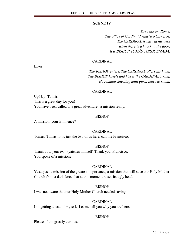#### **SCENE IV**

*The Vatican, Rome. The office of Cardinal Francisco Cisneros. The CARDINAL is busy at his desk when there is a knock at the door. It is BISHOP TOMÁS TORQUEMADA.*

## CARDINAL

Enter!

*The BISHOP enters. The CARDINAL offers his hand. The BISHOP kneels and kisses the CARDINAL's ring. He remains kneeling until given leave to stand.*

#### CARDINAL

Up! Up, Tomás. This is a great day for you! You have been called to a great adventure...a mission really.

#### BISHOP

A mission, your Eminence?

#### CARDINAL

Tomás, Tomás...it is just the two of us here, call me Francisco.

#### BISHOP

Thank you, your ex... (catches himself) Thank you, Francisco. You spoke of a mission?

#### CARDINAL

Yes...yes...a mission of the greatest importance; a mission that will save our Holy Mother Church from a dark force that at this moment raises its ugly head.

#### BISHOP

I was not aware that our Holy Mother Church needed saving.

## CARDINAL

I'm getting ahead of myself. Let me tell you why you are here.

## BISHOP

Please...I am greatly curious.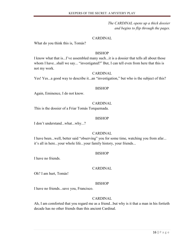*The CARDINAL opens up a thick dossier and begins to flip through the pages.*

## CARDINAL

What do you think this is, Tomás?

## BISHOP

I know what that is...I've assembled many such...it is a dossier that tells all about those whom I have...shall we say... "investigated?" But, I can tell even from here that this is not my work.

## CARDINAL

Yes! Yes...a good way to describe it...an "investigation," but who is the subject of this?

#### BISHOP

Again, Eminence, I do not know.

## CARDINAL

This is the dossier of a Friar Tomás Torquemada.

#### BISHOP

I don't understand...what...why...?

## CARDINAL

I have been...well, better said "observing" you for some time, watching you from afar... it's all in here...your whole life...your family history, your friends...

## **BISHOP**

I have no friends.

## CARDINAL

Oh? I am hurt, Tomás!

## BISHOP

I have no friends...save you, Francisco.

## CARDINAL

Ah, I am comforted that you regard me as a friend...but why is it that a man in his fortieth decade has no other friends than this ancient Cardinal.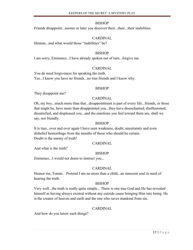Friends disappoint...sooner or later you discover their...their...their inabilities.

## CARDINAL

Hmmm...and what would those "inabilities" be?

## **BISHOP**

I am sorry, Eminence...I have already spoken out of turn...forgive me.

## CARDINAL

You do need forgiveness for speaking the truth. Yes...I know you have no friends...no true friends and I know why.

## BISHOP

They disappoint me?

## CARDINAL

Oh, my boy...much more than that...disappointment is part of every life...friends, or those that might be, have more than disappointed you...they have disenchanted, disillusioned, dissatisfied, and displeased you...and the emotions you feel toward them are, shall we say, not friendly.

## BISHOP

It is true...over and over again I have seen weakness, doubt, uncertainty and even disbelief hemorrhage from the mouths of those who should be certain. Doubt is the enemy of truth!

## CARDINAL

And what is the truth?

## **BISHOP**

Eminence...I would not deem to instruct you...

## CARDINAL

Humor me, Tomás. Pretend I am no more than a child...an innocent soul in need of hearing the truth.

## **BISHOP**

Very well...the truth is really quite simple... There is one true God and He has revealed himself as having always existed without any outside cause bringing Him into being. He is the creator of heaven and earth and the one who saves mankind from sin.

## CARDINAL

And how do you know such things?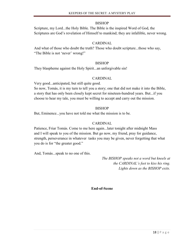Scripture, my Lord...the Holy Bible. The Bible is the inspired Word of God, the Scriptures are God's revelation of Himself to mankind; they are infallible, never wrong.

## CARDINAL

And what of those who doubt the truth? Those who doubt scripture...those who say, "The Bible is not 'never' wrong!"

## **BISHOP**

They blaspheme against the Holy Spirit...an unforgivable sin!

## CARDINAL

Very good...anticipated, but still quite good.

So now, Tomás, it is my turn to tell you a story; one that did not make it into the Bible, a story that has only been closely kept secret for nineteen-hundred years. But...if you choose to hear my tale, you must be willing to accept and carry out the mission.

## **BISHOP**

But, Eminence...you have not told me what the mission is to be.

## CARDINAL

Patience, Friar Tomás. Come to me here again...later tonight after midnight Mass and I will speak to you of the mission. But go now, my friend, pray for guidance, strength, perseverance in whatever tasks you may be given, never forgetting that what you do is for "the greater good."

And, Tomás...speak to no one of this.

*The BISHOP speaks not a word but kneels at the CARDINAL's feet to kiss his ring. Lights down as the BISHOP exits.*

**End-of-Scene**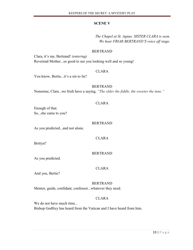## **SCENE V**

## *The Chapel at St. Agnus. SISTER CLARA is seen. We hear FRIAR BERTRAND'S voice off stage.*

#### BERTRAND

Clara, it's me, Bertrand! *(entering)* Reverend Mother...so good to see you looking well and so young!

## CLARA

You know, Bertie...it's a sin to lie?

## BERTRAND

Nonsense, Clara...we Irish have a saying, *"The older the fiddle, the sweeter the tune."*

#### CLARA

Enough of that. So...she came to you?

#### BERTRAND

As you predicted...and not alone.

CLARA

Brittyn?

## BERTRAND

As you predicted.

## CLARA

And you, Bertie?

## BERTRAND

Mentor, guide, confidant, confessor...whatever they need.

## CLARA

We do not have much time... Bishop Godfrey has heard from the Vatican and I have heard from him.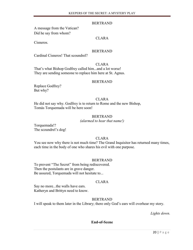#### BERTRAND

A message from the Vatican? Did he say from whom?

Cisneros.

## CLARA

#### BERTRAND

Cardinal Cisneros! That scoundrel?

## CLARA

That's what Bishop Godfrey called him...and a lot worse! They are sending someone to replace him here at St. Agnus.

#### BERTRAND

Replace Godfrey? But why?

#### CLARA

He did not say why. Godfrey is to return to Rome and the new Bishop, Tomás Torquemada will be here soon!

#### BERTRAND

*(alarmed to hear that name!)*

Torquemada!? The scoundrel's dog!

#### CLARA

You see now why there is not much time? The Grand Inquisitor has returned many times, each time in the body of one who shares his evil with one purpose.

#### BERTRAND

To prevent "The Secret" from being rediscovered. Then the postulants are in grave danger. Be assured, Torquemada will not hesitate to...

#### CLARA

Say no more...the walls have ears. Katheryn and Brittyn need to know.

## BERTRAND

I will speak to them later in the Library; there only God's ears will overhear my story.

*Lights down.*

## **End-of-Scene**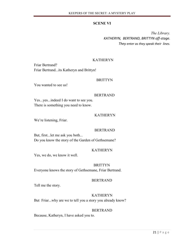## **SCENE VI**

*The Library. KATHERYN, BERTRAND, BRITTYN off-stage. They enter as they speak their lines.*

## KATHERYN

Friar Bertrand? Friar Bertrand...its Katheryn and Brittyn!

## BRITTYN

You wanted to see us!

#### BERTRAND

Yes...yes...indeed I do want to see you. There is something you need to know.

## KATHERYN

We're listening, Friar.

## BERTRAND

But, first...let me ask you both... Do you know the story of the Garden of Gethsemane?

## KATHERYN

Yes, we do, we know it well.

## BRITTYN

Everyone knows the story of Gethsemane, Friar Bertrand.

## BERTRAND

Tell me the story.

## KATHERYN

But Friar...why are we to tell you a story you already know?

## BERTRAND

Because, Katheryn, I have asked you to.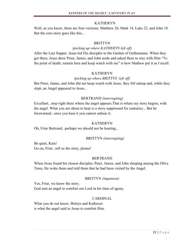## KATHERYN

Well, as you know, there are four versions: Matthew 26, Mark 14, Luke 22, and John 18. But the core story goes like this...

## BRITTYN

## *(picking up where KATHERYN left off)*

After the Last Supper, Jesus led His disciples to the Garden of Gethsemane. When they got there, Jesus drew Peter, James, and John aside and asked them to stay with Him "To the point of death; remain here and keep watch with me" is how Mathew put it as I recall.

## KATHERYN

## *(picking up where BRITTYN left off)*

But Peter, James, and John did not keep watch with Jesus, they fell asleep and, while they slept, an Angel appeared to Jesus...

## BERTRAND *(interrupting)*

Excellent...stop right there where the angel appears.That is where my story begins, with the angel. What you are about to hear is a story suppressed for centuries... But be forewarned...once you hear it you cannot unhear it.

## KATHERYN

Oh, Friar Bertrand...perhaps we should not be hearing...

## BRITTYN *(interrupting)*

Be quiet, Kate! Go on, Friar...tell us the story, please!

## BERTRAND

When Jesus found his closest disciples, Peter, James, and John sleeping among the Olive Trees, He woke them and told them that he had been visited by the Angel.

## BRITTYN *(impatient)*

Yes, Friar, we know the story. God sent an angel to comfort our Lord in his time of agony.

## CARDINAL

What you do not know, Brittyn and Katheryn is what the angel said to Jesus to comfort Him.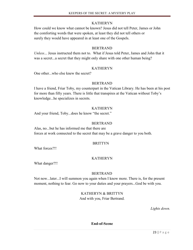## KATHERYN

How could we know what cannot be known? Jesus did not tell Peter, James or John the comforting words that were spoken, at least they did not tell others or surely they would have appeared in at least one of the Gospels.

## BERTRAND

*Unless*... Jesus instructed them not to. What if Jesus told Peter, James and John that it was a secret...a secret that they might only share with one other human being?

## KATHERYN

One other...who else knew the secret?

## BERTRAND

I have a friend, Friar Toby, my counterpart in the Vatican Library. He has been at his post for more than fifty years. There is little that transpires at the Vatican without Toby's knowledge...he specializes in secrets.

## KATHERYN

And your friend, Toby...does he know "the secret."

## BERTRAND

Alas, no...but he has informed me that there are forces at work connected to the secret that may be a grave danger to you both.

## **BRITTYN**

What forces?!!

## KATHERYN

What danger?!!

## BERTRAND

Not now...later...I will summon you again when I know more. There is, for the present moment, nothing to fear. Go now to your duties and your prayers...God be with you.

> KATHERYN & BRITTYN And with you, Friar Bertrand.

> > *Lights down.*

**End-of-Scene**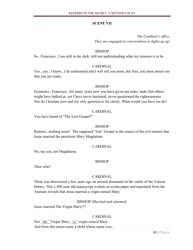## **SCENE VII**

*The Cardinal's office. They are engaged in conversation as lights go up.*

## BISHOP

So...Francisco...I am still in the dark; still not understanding what my mission is to be

## CARDINAL

Yes...yes...I know...I do understand and I will tell you more, but first, you must assure me that you are ready.

## BISHOP

Eminence...Francisco...for many years now you have given me tasks, tasks that others might have balked at, yet I have never hesitated, never questioned the righteousness. Nor do I hesitate now and my only question is for clarity. What would you have me do?

## CARDINAL

You have heard of "The Lost Gospel?"

## BISHOP

Rumors...nothing more! The supposed "lost" Gospel is the source of the evil rumors that Jesus married the prostitute Mary Magdalene.

## CARDINAL

No, my son, not Magdalene.

## BISHOP

Then who?

## CARDINAL

There was discovered a few years ago an ancient document in the vaults of the Vatican library. This 1,500 year old manuscript written on scritta paper and translated from the Aramaic reveals that Jesus married a virgin named Mary.

## BISHOP *(Shocked and alarmed)*

Jesus married The Virgin Mary!??

## CARDINAL

Not *"the"* Virgin Mary; *"a"* virgin *named* Mary. And from this union came a child whose name was...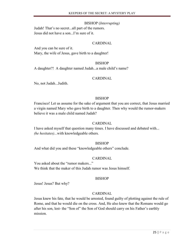## BISHOP (*Interrupting)*

Judah! That's no secret...all part of the rumors. Jesus did not have a son...I'm sure of it.

## CARDINAL

And you can be sure of it. Mary, the wife of Jesus, gave birth to a daughter!

## **BISHOP**

A daughter?! A daughter named Judah...a male child's name?

## CARDINAL

No, not Judah...Judith.

## **BISHOP**

Francisco! Let us assume for the sake of argument that you are correct, that Jesus married a virgin named Mary who gave birth to a daughter. Then why would the rumor-makers believe it was a male child named Judah?

## CARDINAL

I have asked myself that question many times. I have discussed and debated with... *(he hesitates)...*with knowledgeable others.

## **BISHOP**

And what did you and these "knowledgeable others" conclude.

## CARDINAL

You asked about the "rumor makers..." We think that the maker of this Judah rumor was Jesus himself.

## BISHOP

Jesus! Jesus? But why?

## CARDINAL

Jesus knew his fate, that he would be arrested, found guilty of plotting against the rule of Rome, and that he would die on the cross. And, He also knew that the Romans would go after his son, lest- the "Son of" the Son of God should carry on his Father's earthly mission.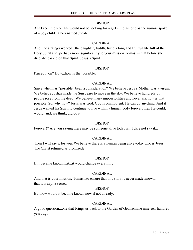Ah! I see...the Romans would not be looking for a girl child as long as the rumors spoke of a boy child...a boy named Judah.

## CARDINAL

And, the strategy worked...the daughter, Judith, lived a long and fruitful life full of the Holy Spirit and, perhaps more significantly to your mission Tomás, is that before she died she passed on that Spirit, Jesus's Spirit!

## BISHOP

Passed it on? How...how is that possible?

## CARDINAL

Since when has "possible" been a consideration? We believe Jesus's Mother was a virgin. We believe Joshua made the Sun cease to move in the sky. We believe hundreds of people rose from the dead! We believe many impossibilities and never ask how is that possible. So, why now? Jesus was God. God is omnipotent; He can do anything. And if Jesus wanted his Spirit to continue to live within a human body forever, then He could, would, and, we think, did do it!

## BISHOP

Forever!? Are you saying there may be someone alive today is...I dare not say it...

## CARDINAL

Then I will say it for you. We believe there is a human being alive today who is Jesus, The Christ returned as promised?

## BISHOP

If it became known....it...it would change everything!

## CARDINAL

And that is your mission, Tomás...to ensure that this story is never made known, that it is *kept* a secret.

## **BISHOP**

But how would it become known now if not already?

## CARDINAL

A good question...one that brings us back to the Garden of Gethsemane nineteen-hundred years ago.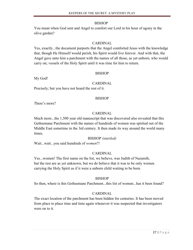You mean when God sent and Angel to comfort our Lord in his hour of agony in the olive garden?

## CARDINAL

Yes, exactly...the document purports that the Angel comforted Jesus with the knowledge that, though He Himself would perish, his Spirit would live forever. And with that, the Angel gave unto him a parchment with the names of all those, as yet unborn, who would carry on; vessels of the Holy Spirit until it was time for him to return.

## BISHOP

My God!

## CARDINAL

Precisely; but you have not heard the rest of it.

## BISHOP

There's more?

## CARDINAL

Much more...the 1,500 year old manuscript that was discovered also revealed that this Gethsemane Parchment with the names of hundreds of women was spirited out of the Middle East sometime in the 3rd century. It then made its way around the world many times.

## BISHOP *(startled)*

Wait...wait...you said hundreds of *women*?!

## CARDINAL

Yes...women! The first name on the list, we believe, was Judith of Nazareth, but the rest are as yet unknown, but we do believe that it was to be only women carrying the Holy Spirit as if it were a unborn child waiting to be born.

## **BISHOP**

So then, where is this Gethsemane Parchment...this list of women...has it been found?

## CARDINAL

The exact location of the parchment has been hidden for centuries. It has been moved from place to place time and time again whenever it was suspected that investigators were on to it.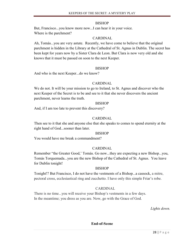But, Francisco...you know more now...I can hear it in your voice. Where is the parchment?

## CARDINAL

Ah, Tomás...you are very astute. Recently, we have come to believe that the original parchment is hidden in the Library at the Cathedral of St. Agnus in Dublin. The secret has been kept for years now by a Sister Clara de Leon. But Clara is now very old and she knows that it must be passed on soon to the next Keeper.

## BISHOP

And who is the next Keeper...do we know?

## CARDINAL

We do not. It will be your mission to go to Ireland, to St. Agnus and discover who the next Keeper of the Secret is to be and see to it that she never discovers the ancient parchment, never learns the truth.

## BISHOP

And, if I am too late to prevent this discovery?

## CARDINAL

Then see to it that she and anyone else that she speaks to comes to spend eternity at the right hand of God...sooner than later.

## BISHOP

You would have me break a commandment?

## CARDINAL

Remember "the Greater Good,' Tomás. Go now...they are expecting a new Bishop...you, Tomás Torquemada...you are the new Bishop of the Cathedral of St. Agnus. You leave for Dublin tonight!

## BISHOP

Tonight!? But Francisco, I do not have the vestments of a Bishop...a cassock, a mitre, pectoral cross, ecclesiastical ring and zucchetto. I have only this simple Friar's robe.

## CARDINAL

There is no time...you will receive your Bishop's vestments in a few days. In the meantime; you dress as you are. Now, go with the Grace of God.

*Lights down.*

**End-of-Scene**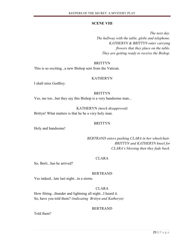## **SCENE VIII**

*The next day. The hallway with the table, globe and telephone. KATHERYN & BRITTYN enter carrying flowers that they place on the table. They are getting ready to receive the Bishop.*

## **BRITTYN**

This is so exciting...a new Bishop sent from the Vatican.

## KATHERYN

I shall miss Godfrey.

## BRITTYN

Yes, me too...but they say this Bishop is a very handsome man...

KATHERYN *(mock disapproval)* Brittyn! What matters is that he be a very holy man.

## BRITTYN

Holy and handsome!

*BERTRAND enters pushing CLARA in her wheelchair. BRITTYN and KATHERYN kneel for CLARA's blessing then they fade back.*

## CLARA

So, Berti...has he arrived?

## BERTRAND

Yes indeed...late last night...in a storm.

## CLARA

How fitting...thunder and lightning all night...I heard it. So, have you told them? *(indicating Brittyn and Katheryn)*

## BERTRAND

Told them?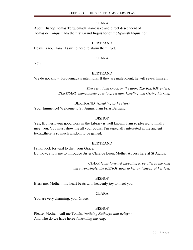## CLARA

About Bishop Tomás Torquemada, namesake and direct descendent of Tomás de Torquemada the first Grand Inquisitor of the Spanish Inquisition.

#### BERTRAND

Heavens no, Clara...I saw no need to alarm them...yet.

#### CLARA

Yet?

#### BERTRAND

We do not know Torquemada's intentions. If they are malevolent, he will reveal himself.

*There is a loud knock on the door. The BISHOP enters. BERTRAND immediately goes to greet him, kneeling and kissing his ring.*

BERTRAND *(speaking as he rises)* Your Eminence! Welcome to St. Agnus. I am Friar Bertrand.

## BISHOP

Yes, Brother...your good work in the Library is well known. I am so pleased to finally meet you. You must show me all your books. I'm especially interested in the ancient texts...there is so much wisdom to be gained.

#### BERTRAND

I shall look forward to that, your Grace. But now, allow me to introduce Sister Clara de Leon, Mother Abbess here at St Agnus.

> *CLARA leans forward expecting to be offered the ring but surprisingly, the BISHOP goes to her and kneels at her feet.*

## BISHOP

Bless me, Mother...my heart beats with heavenly joy to meet you.

## CLARA

You are very charming, your Grace.

## BISHOP

Please, Mother...call me Tomás. *(noticing Katheryn and Brittyn)* And who do we have here? *(extending the ring)*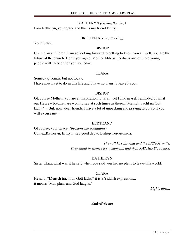## KATHERYN *(kissing the ring)*

I am Katheryn, your grace and this is my friend Brittyn.

## BRITTYN *(kissing the ring)*

Your Grace.

## BISHOP

Up...up, my children. I am so looking forward to getting to know you all well, you are the future of the church. Don't you agree, Mother Abbess...perhaps one of these young people will carry on for you someday.

## CLARA

Someday, Tomás, but not today. I have much yet to do in this life and I have no plans to leave it soon.

## BISHOP

Of, course Mother...you are an inspiration to us all, yet I find myself reminded of what our Hebrew brethren are wont to say at such times as these..."Mensch tracht un Gott lacht." ...But, now, dear friends, I have a lot of unpacking and praying to do, so if you will excuse me...

## BERTRAND

Of course, your Grace. *(Beckons the postulants)* Come...Katheryn, Brittyn...say good day to Bishop Torquemada.

> *They all kiss his ring and the BISHOP exits. They stand in silence for a moment, and then KATHERYN speaks.*

## KATHERYN

Sister Clara, what was it he said when you said you had no plans to leave this world?

## CLARA

He said, "Mensch tracht un Gott lacht;" it is a Yiddish expression... it means "Man plans and God laughs."

*Lights down.*

## **End-of-Scene**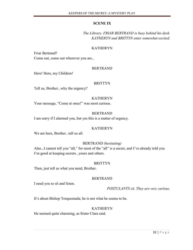## **SCENE IX**

*The Library. FRIAR BERTRAND is busy behind his desk. KATHERYN and BRITTYN enter somewhat excited.*

## KATHERYN

Friar Bertrand? Come out, come out wherever you are...

## BERTRAND

Here! Here, my Children!

## BRITTYN

Tell us, Brother...why the urgency?

## KATHERYN

Your message, "Come at once!" was most curious.

## BERTRAND

I am sorry if I alarmed you, but yes this is a matter of urgency.

## KATHERYN

We are here, Brother...tell us all.

## BERTRAND *(hesitating)*

Alas...I cannot tell you "all," for most of the "all" is a secret, and I've already told you I'm good at keeping secrets...yours and others.

## BRITTYN

Then, just tell us what you need, Brother.

## BERTRAND

I need you to sit and listen.

*POSTULANTS sit. They are very curious.*

It's about Bishop Torquemada; he is not what he seems to be.

## KATHERYN

He seemed quite charming, as Sister Clara said.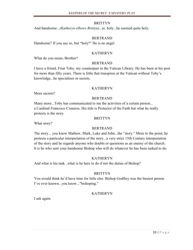And handsome...*(Katheryn elbows Brittyn)...*er, holy...he seemed quite holy.

## BERTRAND

Handsome? If you say so, but "holy?" He is no angel.

## KATHERYN

What do you mean, Brother?

## BERTRAND

I have a friend, Friar Toby, my counterpart in the Vatican Library. He has been at his post for more than fifty years. There is little that transpires at the Vatican without Toby's knowledge...he specializes in secrets.

## KATHERYN

More secrets?

## BERTRAND

Many more...Toby has communicated to me the activities of a certain person... a Cardinal Francisco Cisneros. His title is Protector of the Faith but what he really protects is the story.

## BRITTYN

What story?

## BERTRAND

The story... you know Mathew, Mark, Luke and John...the "story." More to the point, he protects a particular interpretation of the story...a very strict 15th Century interpretation of the story and he regards anyone who doubts or questions as an enemy of the church. It is he who sent your handsome Bishop who will do whatever he has been tasked to do.

## KATHERYN

And what is his task...what is he here to do if not the duties of Bishop?

## BRITTYN

You would think he'd have time for little else. Bishop Godfrey was the busiest person I've ever known...you know..."bishoping."

## KATHERYN

I ask again.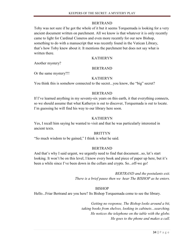## BERTRAND

Toby was not sure if he got the whole of it but it seems Torquemada is looking for a very ancient document written on parchment. All we know is that whatever it is only recently came to light for Cardinal Cisneros and even more recently for our new Bishop, something to do with a manuscript that was recently found in the Vatican Library, that's how Toby knew about it. It mentions the parchment but does not say what is written there.

## KATHERYN

Another mystery?

## BERTRAND

Or the same mystery?!!

## KATHERYN

You think this is somehow connected to the secret...you know, the "big" secret?

## BERTRAND

If I've learned anything in my seventy-six years on this earth, it that everything connects, so we should assume that what Katheryn is out to discover, Torquemada is out to locate. I'm guessing he will find his way to our library here soon.

## KATHERYN

Yes, I recall him saying he wanted to visit and that he was particularly interested in ancient texts.

## BRITTYN

"So much wisdom to be gained," I think is what he said.

## BERTRAND

And that's why I said urgent, we urgently need to find that document...so, let's start looking. It won't be on this level, I know every book and piece of paper up here, but it's been a while since I've been down in the cellars and crypts. So...off-we go!

> *BERTRAND and the postulants exit. There is a brief pause then we hear The BISHOP as he enters.*

## **BISHOP**

Hello...Friar Bertrand are you here? Its Bishop Torquemada come to see the library.

*Getting no response, The Bishop looks around a bit, taking books from shelves, looking in cabinets...searching. He notices the telephone on the table with the globe. He goes to the phone and makes a call.*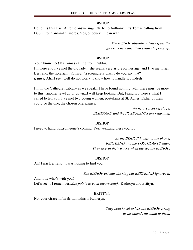Hello! Is this Friar Antonio answering? Oh, hello Anthony...it's Tomás calling from Dublin for Cardinal Cisneros. Yes, of course...I can wait.

> *The BISHOP absentmindedly spins the globe as he waits, then suddenly perks up.*

## **BISHOP**

Your Eminence! Its Tomás calling from Dublin.

I'm here and I've met the old lady... she seems very astute for her age, and I've met Friar Bertrand, the librarian... *(pause)* "a scoundrel?"...why do you say that? *(pause)* Ah...I see...well do not worry, I know how to handle scoundrels!

I'm in the Cathedral Library as we speak...I have found nothing yet... there must be more to this...another level up or down...I will keep looking. But, Francisco, here's what I called to tell you. I've met two young women, postulants at St. Agnes. Either of them could be the one, the chosen one. *(pause)*

> *We hear voices off stage. BERTRAND and the POSTULANTS are returning.*

## BISHOP

I need to hang up...someone's coming. Yes, yes...and bless you too.

*As the BISHOP hangs up the phone, BERTRAND and the POSTULANTS enter. They stop in their tracks when the see the BISHOP.*

## BISHOP

Ah! Friar Bertrand! I was hoping to find you.

*The BISHOP extends the ring but BERTRAND ignores it.*

And look who's with you! Let's see if I remember...*(he points to each incorrectly)*...Katheryn and Brittyn?

## BRITTYN

No, your Grace...I'm Brittyn...this is Katheryn.

*They both kneel to kiss the BISHOP's ring as he extends his hand to them.*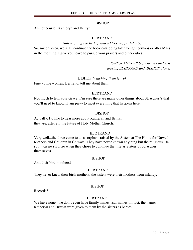Ah...of course...Katheryn and Brittyn.

## BERTRAND

## *(interrupting the Bishop and addressing postulants)*

So, my children, we shall continue the book cataloging later tonight perhaps or after Mass in the morning. I give you leave to pursue your prayers and other duties.

> *POSTULANTS adlib good-byes and exit leaving BERTRAND and BISHOP alone.*

## BISHOP *(watching them leave)*

Fine young women, Bertrand, tell me about them.

## BERTRAND

Not much to tell, your Grace, I'm sure there are many other things about St. Agnus's that you'll need to know...I am privy to most everything that happens here.

## BISHOP

Actually, I'd like to hear more about Katheryn and Brittyn; they are, after all, the future of Holy Mother Church.

## BERTRAND

Very well...the three came to us as orphans raised by the Sisters at The Home for Unwed Mothers and Children in Galway. They have never known anything but the religious life so it was no surprise when they chose to continue that life as Sisters of St. Agnus themselves.

## BISHOP

And their birth mothers?

## BERTRAND

They never knew their birth mothers, the sisters were their mothers from infancy.

## BISHOP

Records?

## BERTRAND

We have none...we don't even have family names...sur names. In fact, the names Katheryn and Brittyn were given to them by the sisters as babies.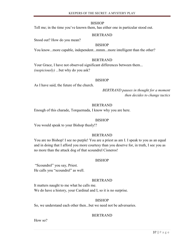Tell me; in the time you've known them, has either one in particular stood out.

## BERTRAND

Stood out? How do you mean?

## BISHOP

You know...more capable, independent...mmm...more intelligent than the other?

#### BERTRAND

Your Grace, I have not observed significant differences between them... *(suspiciously) ...*but why do you ask?

#### BISHOP

As I have said, the future of the church.

*BERTRAND pauses in thought for a moment then decides to change tactics*

## BERTRAND

Enough of this charade, Torquemada, I know why you are here.

#### BISHOP

You would speak to your Bishop thusly!?

#### BERTRAND

You are no Bishop! I see no purple! You are a priest as am I. I speak to you as an equal and in doing that I afford you more courtesy than you deserve for, in truth, I see you as no more than the attack dog of that scoundrel Cisneros!

#### BISHOP

"Scoundrel" you say, Priest. He calls you "scoundrel" as well.

## BERTRAND

It matters naught to me what he calls me. We do have a history, your Cardinal and I, so it is no surprise.

## BISHOP

So, we understand each other then...but we need not be adversaries.

## BERTRAND

How so?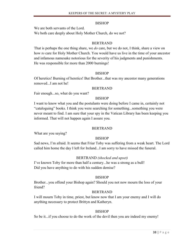We are both servants of the Lord.

We both care deeply about Holy Mother Church, do we not?

## BERTRAND

That is perhaps the one thing share, we *do* care, but we do not, I think, share a view on how *to* care for Holy Mother Church. You would have us live in the time of your ancestor and infamous namesake notorious for the severity of his judgments and punishments. He was responsible for more than 2000 burnings!

## BISHOP

Of heretics! Burning of heretics! But Brother...that was my ancestor many generations removed...I am not he!

## BERTRAND

Fair enough...so, what do you want?

## **BISHOP**

I want to know what you and the postulants were doing before I came in, certainly not "cataloguing" books. I think you were searching for something...something you were never meant to find. I am sure that your spy in the Vatican Library has been keeping you informed. That will not happen again I assure you.

## BERTRAND

What are you saying?

## BISHOP

Sad news, I'm afraid. It seems that Friar Toby was suffering from a weak heart. The Lord called him home the day I left for Ireland...I am sorry to have missed the funeral.

## BERTRAND *(shocked and upset)*

I've known Toby for more than half a century...he was a strong as a bull! Did you have anything to do with his sudden demise?

## BISHOP

Brother...you offend your Bishop again? Should you not now mourn the loss of your friend?

## BERTRAND

I will mourn Toby in time, priest, but know now that I am your enemy and I will do anything necessary to protect Brittyn and Katheryn.

## BISHOP

So be it...if you choose to do the work of the devil then you are indeed my enemy!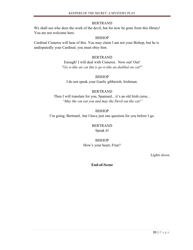## BERTRAND

We shall see who does the work of the devil, but for now be gone from this library! You are not welcome here.

## BISHOP

Cardinal Cisneros will hear of this. You may claim I am not your Bishop, but he is undisputedly your Cardinal; you must obey him.

## BERTRAND

Enough! I will deal with Cisneros. Now out! Out! "*Go n-ithe an cat thú is go n-ithe an diabhal an cat*!"

**BISHOP** I do not speak your Gaelic gibberish, Irishman.

## BERTRAND

Then I will translate for you, Spaniard... it's an old Irish curse... *"May the cat eat you and may the Devil eat the cat!"*

BISHOP I'm going, Bertrand...but I have just one question for you before I go.

> BERTRAND Speak it!

BISHOP How's your heart, Friar?

*Lights down.*

**End-of-Scene**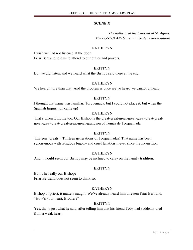## **SCENE X**

*The hallway at the Convent of St. Agnus. The POSTULANTS are in a heated conversation!*

## KATHERYN

I wish we had not listened at the door. Friar Bertrand told us to attend to our duties and prayers.

## BRITTYN

But we did listen, and we heard what the Bishop said there at the end.

## KATHERYN

We heard more than that! And the problem is once we've heard we cannot unhear.

## BRITTYN

I thought that name was familiar, Torquemada, but I could not place it, but when the Spanish Inquisition came up!

## KATHERYN

That's when it hit me too. Our Bishop is the great-great-great-great-great-great-greatgreat-great-great-great-great-great-grandson of Tomás de Torquemada.

## BRITTYN

Thirteen "greats!" Thirteen generations of Torquemadas! That name has been synonymous with religious bigotry and cruel fanaticism ever since the Inquisition.

## **KATHERYN**

And it would seem our Bishop may be inclined to carry on the family tradition.

## BRITTYN

But is he really our Bishop? Friar Bertrand does not seem to think so.

## **KATHERYN**

Bishop or priest, it matters naught. We've already heard him threaten Friar Bertrand, "How's your heart, Brother?"

## BRITTYN

Yes, that's just what he said, after telling him that his friend Toby had suddenly died from a weak heart!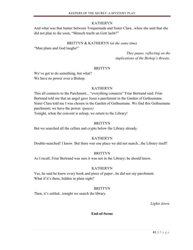## KATHERYN

And what was that banter between Torquemada and Sister Clara...when she said that she did not plan to die soon, "Mensch tracht un Gott lacht?"

## BRITTYN & KATHERYN *(at the same time)*

"Man plans and God laughs!"

*They pause, reflecting on the implications of the Bishop's threats.*

## BRITTYN

We've got to do something, but what? We have no power over a Bishop.

## KATHERYN

This all connects to the Parchment... "everything connects" Friar Bertrand said. Friar Bertrand told me that an angel gave Jesus a parchment in the Garden of Gethsemane. Sister Clara told me I was chosen in the Garden of Gethsemane. We find this Gethsemane parchment; we have the power. *(pause)* Tonight, when the convent is asleep, we return to the Library!

## BRITTYN

But we searched all the cellars and crypts below the Library already.

## KATHERYN

Double-searched! I know. But there was one place we did not search...the Library itself!

## **BRITTYN**

As I recall, Friar Bertrand was sure it was not in the Library; he should know.

## KATHERYN

Yes, he said he knew every book and piece of paper...he did not say parchment. What if it's there, hidden in plain sight?

## **BRITTYN**

Then, it's settled...tonight we search the library.

*Lights down.*

## **End-of-Scene**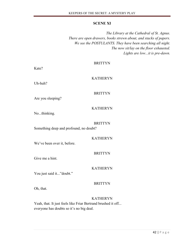#### **SCENE XI**

*The Library at the Cathedral of St. Agnus. There are open drawers, books strewn about, and stacks of papers. We see the POSTULANTS. They have been searching all night. The now sit/lay on the floor exhausted. Lights are low...it is pre-dawn.*

## **BRITTYN**

Kate?

## KATHERYN

Uh-huh?

#### **BRITTYN**

Are you sleeping?

## KATHERYN

No...thinking.

## BRITTYN

Something deep and profound, no doubt?

#### KATHERYN

We've been over it, before.

#### **BRITTYN**

Give me a hint.

#### KATHERYN

You just said it..." doubt."

## BRITTYN

Oh, that.

#### KATHERYN

Yeah, that. It just feels like Friar Bertrand brushed it off... everyone has doubts so it's no big deal.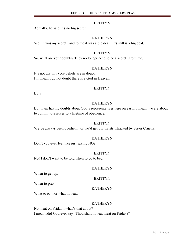Actually, he said it's no big secret.

## KATHERYN

Well it was *my* secret...and to me it was a big deal...it's still is a big deal.

## BRITTYN

So, what are your doubts? They no longer need to be a secret...from me.

## KATHERYN

It's not that my core beliefs are in doubt... I'm mean I do not doubt there is a God in Heaven.

## BRITTYN

But?

## KATHERYN

But, I am having doubts about God's representatives here on earth. I mean, we are about to commit ourselves to a lifetime of obedience.

## BRITTYN

We've always been obedient...or we'd get our wrists whacked by Sister Cruella.

## KATHERYN

Don't you ever feel like just saying NO?

## **BRITTYN**

No! I don't want to be told when to go to bed.

## KATHERYN

When to get up.

When to pray.

## KATHERYN

BRITTYN

What to eat...or what not eat.

## KATHERYN

No meat on Friday...what's that about? I mean...did God ever say "Thou shalt not eat meat on Friday?"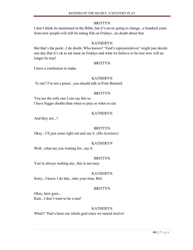I don't think its mentioned in the Bible, but it's never going to change...a hundred years from now people will still be eating fish on Fridays...no doubt about that.

## KATHERYN

But that's the point...I do doubt. Who knows? "God's representatives" might just decide one day that it's ok to eat meat on Fridays and what we believe to be true now will no longer be true!

## **BRITTYN**

I have a confession to make.

## KATHERYN

To me? I'm not a priest...you should talk to Friar Bernard.

## BRITTYN

You are the only one I can say this to. I have bigger doubts than when to pray or when to eat.

## KATHERYN

And they are...?

## BRITTYN

Okay...I'll just come right out and say it. *(She hesitates)*

## KATHERYN

Well...what are you waiting for...say it.

## **BRITTYN**

You're always rushing me...this is not easy.

## KATHERYN

Sorry...I know I do that...take your time, Brit.

## **BRITTYN**

Okay, here goes... Kate...I don't want to be a nun!

## KATHERYN

What?! That's been our whole goal since we turned twelve!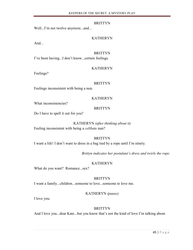Well...I'm not twelve anymore...and...

## KATHERYN

And...

#### BRITTYN

I've been having...I don't know...certain feelings.

## KATHERYN

Feelings?

#### BRITTYN

Feelings inconsistent with being a nun.

## KATHERYN

What inconsistencies?

#### BRITTYN

Do I have to spell it out for you?

## KATHERYN *(after thinking about it)*

Feeling inconsistent with being a *celibate* nun?

## BRITTYN

I want a life! I don't want to dress in a bag tied by a rope until I'm ninety.

*Brittyn indicates her postulant's dress and twirls the rope.*

## KATHERYN

What do you want? Romance...sex?

## BRITTYN

I want a family...children...someone to love...someone to love me.

## KATHERYN *(pause)*

I love you.

## BRITTYN

And I love you...dear Kate...but you know that's not the kind of love I'm talking about.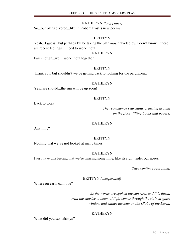#### KATHERYN *(long pause)*

So...our paths diverge...like in Robert Frost's new poem?

#### BRITTYN

Yeah...I guess...but perhaps I'll be taking the path *most* traveled by. I don't know....these are recent feelings...I need to work it out.

#### KATHERYN

Fair enough...we'll work it out together.

#### BRITTYN

Thank you, but shouldn't we be getting back to looking for the parchment?

#### KATHERYN

Yes...we should...the sun will be up soon!

#### **BRITTYN**

Back to work!

*They commence searching, crawling around on the floor, lifting books and papers.*

#### KATHERYN

Anything?

#### BRITTYN

Nothing that we've not looked at many times.

## KATHERYN

I just have this feeling that we're missing something, like its right under our noses.

*They continue searching.*

BRITTYN *(exasperated)*

Where on earth can it be?

*As the words are spoken the sun rises and it is dawn. With the sunrise, a beam of light comes through the stained-glass window and shines directly on the Globe of the Earth.*

## KATHERYN

What did you say, Brittyn?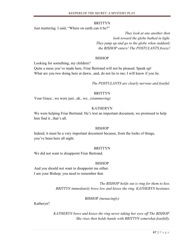Just muttering. I said, "Where on earth can it be?"

*They look at one another then look toward the globe bathed in light. They jump up and go to the globe when suddenly the BISHOP enters! The POSTULANTS freeze!*

#### BISHOP

Looking for something, my children?

Quite a mess you've made here, Friar Bertrand will not be pleased. Speak up! What are you two doing here at dawn...and, do not lie to me; I will know if you lie.

*The POSTULANTS are clearly nervous and fearful.*

## BRITTYN

Your Grace...we were just...ah...we...*(stammering)*

## **KATHERYN**

We were helping Friar Bertrand. He's lost an important document, we promised to help him find it...that's all.

## BISHOP

Indeed, it must be a very important document because, from the looks of things, you've been here all night.

#### BRITTYN

We did not want to disappoint Friar Bertrand.

## BISHOP

And you should not want to disappoint me either. I am your Bishop; you need to remember that.

> *The BISHOP holds out is ring for them to kiss. BRITTYN immediately bows low and kisses the ring. KATHERYN hesitates.*

## BISHOP *(menacingly)*

Katheryn?

*KATHERYN bows and kisses the ring never taking her eyes off The BISHOP. She rises then holds hands with BRITTYN somewhat fearfully.*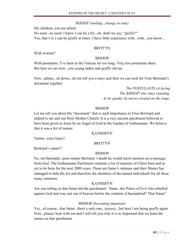## *BISHOP (smiling...change in tone)*

My children, you are afraid.

No need...no need. I know I can be a bit...oh, shall we say, "gruffy?" Yes, that's it. I can be gruffy at times. I have little experience with...with...you know...

#### BRITTYN

With women?

## **BISHOP**

With postulants. I've been at the Vatican for too long. Very few postulants there. But here we are now...you young ladies and gruffy old me.

Now...please...sit down...let me tell you a story and then we can look for Friar Bertrand's document together.

> *The POSTULANTS sit facing The BISHOP who stays standing. As he speaks, he moves around on the stage.*

## **BISHOP**

Let me tell you about the "document" that is such importance to Friar Bertrand and indeed to me and our Holy Mother Church. It is a very ancient parchment believed to have been given to Jesus by an Angel of God in the Garden of Gethsemane. We believe that it was a list of names.

#### KATHERYN

Names, your Grace?

**BRITTYN** 

Bertrand's name!?

## **BISHOP**

No, not Bertrand...poor simple Bertrand. I doubt he would merit mention on a message from God. The Gethsemane Parchment contains a list of enemies of Christ born and as yet to be born for the next 2000 years. These are Satan's minions and their Master has managed to hide the list and therefore the identities of the named individuals for all these many centuries.

## KATHERYN

Are you telling us that Satan hid the parchment? Satan...the Prince of Evil who rebelled against God and was cast out of heaven before the creation of humankind? That Satan?

## BISHOP *(becoming impatient)*

Yes...of course...that Satan...there's only one..*.(pause)...*but here I am being gruffy again. Now...please, bear with me and I will tell you why it is so important that we learn the names on that parchment.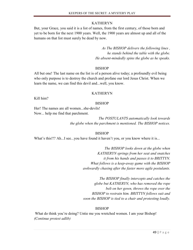## KATHERYN

But, your Grace, you said it is a list of names, from the first century, of those born and yet to be born for the next 1900 years. Well, the 1900 years are almost up and all of the humans on that list must surely be dead by now.

> *As The BISHOP delivers the following lines , he stands behind the table with the globe. He absent-mindedly spins the globe as he speaks.*

## BISHOP

All but one! The last name on the list is of a person alive today; a profoundly evil being who only purpose is to destroy the church and profane our lord Jesus Christ. When we learn the name, we can find this devil and...well, you know.

## KATHERYN

Kill him?

## BISHOP

Her! The names are all women...she-devils! Now... help me find that parchment.

> *The POSTULANTS automatically look towards the globe when the parchment is mentioned. The BISHOP notices.*

## BISHOP

What's this!!? Ah...I see...you have found it haven't you, or you know where it is...

*The BISHOP looks down at the globe when KATHERYN springs from her seat and snatches it from his hands and passes it to BRITTYN. What follows is a keep-away game with the BISHOP awkwardly chasing after the faster more agile postulants.*

*The BISHOP finally intercepts and catches the globe but KATHERYN, who has removed the rope belt on her gown, throws the rope over the BISHOP to restrain him. BRITTYN follows suit and soon the BISHOP is tied to a chair and protesting loudly.*

## BISHOP

What do think you're doing? Untie me you wretched women. I am your Bishop! *(Continue protest adlib)*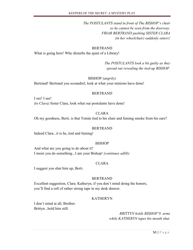*The POSTULANTS stand in front of The BISHOP's chair so he cannot be seen from the doorway. FRIAR BERTRAND pushing SISTER CLARA (in her wheelchair) suddenly enters!*

#### BERTRAND

What is going here! Who disturbs the quiet of a Library!

*The POSTULANTS look a bit guilty as they spread out revealing the tied-up BISHOP.*

#### BISHOP *(angrily)*

Bertrand! Bertrand you scoundrel; look at what your minions have done!

#### BERTRAND

I see! I see! *(to Clara)* Sister Clara, look what our postulants have done!

#### CLARA

Oh my goodness, Berti, is that Tomás tied to his chair and fuming smoke from his ears?

#### BERTRAND

Indeed Clara...it is he, tied and fuming!

#### BISHOP

And what are you going to do about it? I insist you do something...I am your Bishop! *(continues adlib)*

#### CLARA

I suggest you shut him up, Berti.

#### BERTRAND

Excellent suggestion, Clara. Katheryn, if you don't mind doing the honors, you'll find a roll of rather strong tape in my desk drawer.

#### KATHERYN

I don't mind at all, Brother. Brittyn...hold him still.

> *BRITTYN holds BISHOP'S arms while KATHERYN tapes his mouth shut.*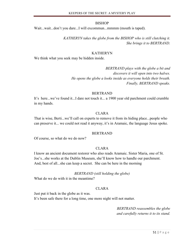Wait...wait...don't you dare...I will excommun...mmmm (mouth is taped).

*KATHERYN takes the globe from the BISHOP who is still clutching it. She brings it to BERTRAND.*

#### KATHERYN

We think what you seek may be hidden inside.

*BERTRAND plays with the globe a bit and discovers it will open into two halves. He opens the globe a looks inside as everyone holds their breath. Finally, BERTRAND speaks.*

#### BERTRAND

It's here...we've found it...I dare not touch it... a 1900 year old parchment could crumble in my hands.

#### CLARA

That is wise, Berti...we'll call on experts to remove it from its hiding place...people who can preserve it... we could not read it anyway, it's in Aramaic, the language Jesus spoke.

#### BERTRAND

Of course, so what do we do now?

#### CLARA

I know an ancient document restorer who also reads Aramaic. Sister Maria, one of St. Joe's...she works at the Dublin Museum, she'll know how to handle our parchment. And, best of all...she can keep a secret. She can be here in the morning

#### *BERTRAND (still holding the globe)*

What do we do with it in the meantime?

#### CLARA

Just put it back in the globe as it was.

It's been safe there for a long time, one more night will not matter.

*BERTRAND reassembles the globe and carefully returns it to its stand.*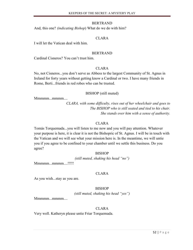#### BERTRAND

And, this one? *(indicating Bishop*) What do we do with him?

#### CLARA

I will let the Vatican deal with him.

#### BERTRAND

Cardinal Cisneros? You can't trust him.

#### CLARA

No, not Cisneros...you don't serve as Abbess to the largest Community of St. Agnus in Ireland for forty years without getting know a Cardinal or two. I have many friends in Rome, Berti...friends in red robes who can be trusted.

#### BISHOP (still muted)

Mmmmm...mmmm....

*CLARA, with some difficulty, rises out of her wheelchair and goes to The BISHOP who is still seated and tied to his chair. She stands over him with a sense of authority.*

## CLARA

Tomás Torquemada...you will listen to me now and you will pay attention. Whatever your purpose is here, it is clear it is not the Bishopric of St. Agnus. I will be in touch with the Vatican and we will see what your mission here is. In the meantime, we will untie you if you agree to be confined to your chamber until we settle this business. Do you agree?

## **BISHOP**

*(still muted, shaking his head "no")*

Mmmm...mmmm....!!!!!

## CLARA

As you wish...stay as you are.

## BISHOP

*(still muted, shaking his head "yes")*

 $M$ mmm $m...m$ mmm....

## CLARA

Very well. Katheryn please untie Friar Torquemada.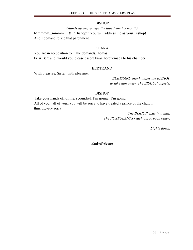#### *(stands up angry, rips the tape from his mouth)*

Mmmmm...mmmm....!!!!!"Bishop!" You will address me as your Bishop! And I demand to see that parchment.

#### CLARA

You are in no position to make demands, Tomás. Friar Bertrand, would you please escort Friar Torquemada to his chamber.

#### BERTRAND

With pleasure, Sister, with pleasure.

*BERTRAND manhandles the BISHOP to take him away. The BISHOP objects.*

## BISHOP

Take your hands off of me, scoundrel. I'm going...I'm going. All of you...all of you...you will be sorry to have treated a prince of the church thusly...very sorry.

> *The BISHOP exits in a huff. The POSTULANTS reach out to each other.*

> > *Lights down.*

**End-of-Scene**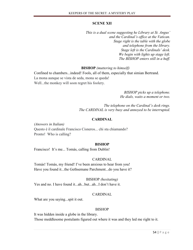## **SCENE XII**

*This is a dual scene suggesting he Library at St. Angus' and the Cardinal's office at the Vatican. Stage right is the table with the globe and telephone from the library. Stage left is the Cardinals' desk. We begin with lights up stage left. The BISHOP enters still in a huff.*

 **BISHOP** *(muttering to himself)*

Confined to chambers...indeed! Fools, all of them, especially that simian Bertrand. La mona aunque se vista de seda, mona se queda! Well...the monkey will soon regret his foolery.

> *BISHOP picks up a telephone. He dials, waits a moment or two.*

*The telephone on the Cardinal's desk rings. The CARDINAL is very busy and annoyed to be interrupted.*

## **CARDINAL**

*(Answers in Italian)* Questo è il cardinale Francisco Cisneros... chi sta chiamando? Pronto! Who is calling?

## **BISHOP**

Francisco! It's me... Tomás, calling from Dublin!

## CARDINAL

Tomás! Tomás, my friend! I've been anxious to hear from you! Have you found it...the Gethsemane Parchment...do you have it?

BISHOP *(hesitating)*

Yes and no. I have found it...ah...but...ah...I don't have it.

## CARDINAL

What are you saying...spit it out.

## BISHOP

It was hidden inside a globe in the library. Those meddlesome postulants figured out where it was and they led me right to it.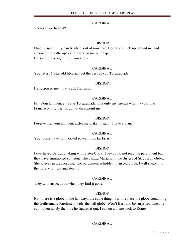## CARDINAL

Then you do have it?

## BISHOP

I had it right in my hands when, out of nowhere, Bertrand snuck up behind me and subdued me with ropes and muzzled me with tape. He's a quite a big fellow, you know.

## CARDINAL

You let a 76 year old librarian get the best of you Torquemada!

## **BISHOP**

He surprised me...that's all, Francisco.

## CARDINAL

Its "Your Eminence!" Friar Torquemada. It is only my friends who may call me Francisco...my friends do not disappoint me.

## BISHOP

Forgive me, your Eminence...let me make it right...I have a plan.

## CARDINAL

Your plans have not worked so well thus far Friar.

## **BISHOP**

I overheard Bertrand taking with Sister Clara. They could not read the parchment but they have summoned someone who can...a Maria with the Sisters of St. Joseph Order. She arrives in the morning. The parchment is hidden in an old globe. I will sneak into the library tonight and steal it.

## CARDINAL

They will suspect you when they find it gone.

## BISHOP

No...there is a globe in the hallway...the same thing...I will replace the globe containing the Gethsemane Parchment with the hall globe. Won't Bertrand be surprised when he can't open it? By the time he figures it out, I can on a plane back to Rome.

## CARDINAL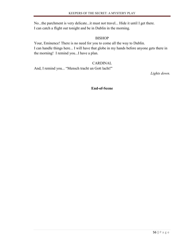No...the parchment is very delicate...it must not travel... Hide it until I get there. I can catch a flight out tonight and be in Dublin in the morning.

## BISHOP

Your, Eminence! There is no need for you to come all the way to Dublin. I can handle things here... I will have that globe in my hands before anyone gets there in the morning! I remind you...I have a plan.

## CARDINAL

And, I remind you... "Mensch tracht un Gott lacht!"

*Lights down.*

**End-of-Scene**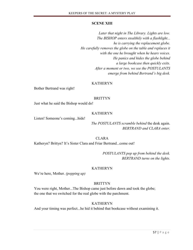## **SCENE XIII**

*Later that night in The Library. Lights are low. The BISHOP enters stealthily with a flashlight... he is carrying the replacement globe. He carefully removes the globe on the table and replaces it with the one he brought when he hears voices. He panics and hides the globe behind a large bookcase then quickly exits. After a moment or two, we see the POSTULANTS emerge from behind Bertrand's big desk.*

## KATHERYN

Bother Bertrand was right!

## **BRITTYN**

Just what he said the Bishop would do!

## KATHERYN

Listen! Someone's coming...hide!

## *The POSTULANTS scramble behind* the desk again. *BERTRAND and CLARA enter.*

CLARA Katheryn? Brittyn? It's Sister Clara and Friar Bertrand...come out!

> *POSTULANTS pop up from behind the desk. BERTRAND turns on the lights.*

## KATHERYN

We're here, Mother. *(popping up)*

## BRITTYN

You were right, Mother...The Bishop came just before dawn and took the globe; the one that we switched for the real globe with the parchment.

## KATHERYN

And your timing was perfect...he hid it behind that bookcase without examining it.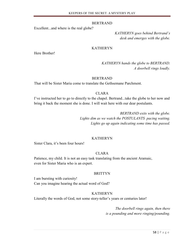#### BERTRAND

Excellent...and where is the real globe?

*KATHERYN goes behind Bertrand's desk and emerges with the globe.*

#### KATHERYN

Here Brother!

## *KATHERYN hands the globe to BERTRAND. A doorbell rings loudly.*

#### BERTRAND

That will be Sister Maria come to translate the Gethsemane Parchment.

#### CLARA

I've instructed her to go to directly to the chapel. Bertrand...take the globe to her now and bring it back the moment she is done. I will wait here with our dear postulants.

> *BERTRAND exits with the globe. Lights dim as we watch the POSTULANTS pacing waiting. Lights go up again indicating some time has passed.*

#### KATHERYN

Sister Clara, it's been four hours!

## CLARA

Patience, my child. It is not an easy task translating from the ancient Aramaic, even for Sister Maria who is an expert.

#### BRITTYN

I am bursting with curiosity! Can you imagine hearing the actual word of God?

## KATHERYN

Literally the words of God, not some story-teller's years or centuries later!

*The doorbell rings again, then there is a pounding and more ringing/pounding.*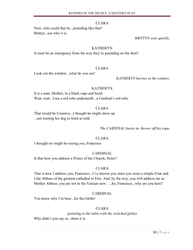#### CLARA

Now, who could that be...pounding like that? Brittyn...see who it is.

*BRITTYN exits quickly.*

#### KATHERYN

It must be an emergency from the way they're pounding on the door!

## CLARA

Look out the window...what do you see!

*KATHERYN hurries to the window.*

#### KATHERYN

It is a man, Mother, in a black cape and hood. Wait, wait...I see a red robe underneath...a Cardinal's red robe.

## CLARA

That would be Cisneros...I thought he might show up ...not trusting his dog to fetch as told.

*The CARDINAL bursts in, throws off his cape.*

#### CLARA

I thought we might be seeing you, Francisco

## CARDINAL

Is that how you address a Prince of the Church, Sister?

## CLARA

That is how I address you, Francisco...I've known you since you were a simple Friar and I the Abbess of the greatest cathedral in Erie. And, by the way, you will address me as Mother Abbess; you are not in the Vatican now. ...So, Francisco...why are you here?

## CARDINAL

You know why I'm here...for the Globe!

## CLARA

*(pointing to the table with the switched globe)* Why didn't you say so...there it is.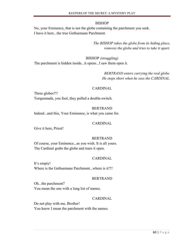No, your Eminence, that is not the globe containing the parchment you seek. I have it here...the true Gethsemane Parchment.

> *The BISHOP takes the globe from its hiding place, removes the globe and tries to take it apart.*

BISHOP *(struggling)* The parchment is hidden inside...it opens...I saw them open it.

> *BERTRAND enters carrying the real globe. He stops short when he sees the CARDINAL.*

#### CARDINAL

Three globes?!! Torquemada, you fool, they pulled a double-switch.

#### BERTRAND

Indeed...and this, Your Eminence, is what you came for.

#### CARDINAL

Give it here, Priest!

#### BERTRAND

Of course, your Eminence...as you wish. It is all yours. The Cardinal grabs the globe and tears it open.

#### CARDINAL

It's empty! Where is the Gethsemane Parchment...where is it?!!

#### BERTRAND

Oh...the parchment? You mean the one with a long list of names.

#### CARDINAL

Do not play with me, Brother! You know I mean the parchment with the names.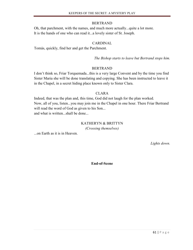## BERTRAND

Oh, that parchment, with the names, and much more actually...quite a lot more. It is the hands of one who can read it...a lovely sister of St. Joseph.

## CARDINAL

Tomás, quickly, find her and get the Parchment.

*The Bishop starts to leave but Bertrand stops him.*

## BERTRAND

I don't think so, Friar Torquemada...this is a very large Convent and by the time you find Sister Maria she will be done translating and copying. She has been instructed to leave it in the Chapel, in a secret hiding place known only to Sister Clara.

## CLARA

Indeed, that was the plan and, this time, God did not laugh for the plan worked. Now, all of you, listen...you may join me in the Chapel in one hour. There Friar Bertrand will read the word of God as given to his Son... and what is written...shall be done...

## KATHERYN & BRITTYN

*(Crossing themselves)*

...on Earth as it is in Heaven.

*Lights down.*

**End-of-Scene**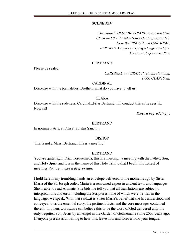## **SCENE XIV**

*The chapel. All but BERTRAND are assembled. Clara and the Postulants are chatting separately from the BISHOP and CARDINAL. BERTRAND enters carrying a large envelope. He stands before the altar.*

## BERTRAND

Please be seated.

*CARDINAL and BISHOP remain standing. POSTULANTS sit.*

## CARDINAL

Dispense with the formalities, Brother...what do you have to tell us!

## CLARA

Dispense with the rudeness, Cardinal...Friar Bertrand will conduct this as he sees fit. Now sit!

*They sit begrudgingly.*

## BERTRAND

In nomine Patris, et Filii et Spritus Sancti...

## **BISHOP**

This is not a Mass, Bertrand; this is a meeting!

## **BERTRAND**

You are quite right, Friar Torquemada, this is a meeting...a meeting with the Father, Son, and Holy Spirit and it is in the name of this Holy Trinity that I begin this holiest of meetings. *(pause...takes a deep breath)*

I hold here in my trembling hands an envelope delivered to me moments ago by Sister Maria of the St. Joseph order. Maria is a renowned expert in ancient texts and languages. She is able to read Aramaic. She bids me tell you that all translations are subject to interpretations and error including the Scriptures none of which were written in the languages we speak. With that said...it is Sister Maria's belief that she has understood and conveyed to us the essential story, the pertinent facts, and the core messages contained therein. In others words...we can believe this to be the word of God delivered unto his only begotten Son, Jesus by an Angel in the Garden of Gethsemane some 2000 years ago. If anyone present is unwilling to hear this, leave now and forever hold your tongue.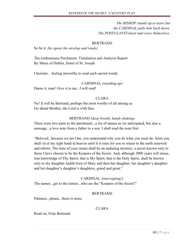*The BISHOP stands up to leave but the CARDINAL pulls him back down. The POSTULANTS kneel and cross themselves.*

## BERTRAND

So be it. *(he opens the envelop and reads)*

The Gethsemane Parchment: Translation and Analysis Report By Maria of Dublin, Sister of St. Joseph

I hesitate... feeling unworthy to read such sacred words.

CARDINAL *(standing up)*

Damn it, man! Give it to me...I will read!

## CLARA

No! It will be Bertrand, perhaps the most worthy of all among us. Go ahead Brother, the Lord is with thee.

## BERTRAND *(deep breath, hands shaking)*

There were two parts to the parchment...a list of names as we anticipated, but also a message...a love note from a father to a son. I shall read the note first.

"Beloved...because we are One, you understand why you do what you must do. Soon you shall sit at my right hand in heaven until it is time for you to return to the earth renewed and reborn. The time of your return shall be an enduring mystery, a secret known only to those I have chosen to be the Keepers of the Secret. And, although 2000 years will ensue, true knowledge of Thy Spirit, that is My Spirit, that is the Holy Spirit, shall be known only to thy daughter Judith born of Mary and then her daughter, her daughter's daughter and her daughter's daughter's daughters, grand and great."

## CARDINAL *(interrupting!)*

The names...get to the names...who are the "Keepers of the Secret?"

## BERTRAND

Patience...please...there is more.

## CLARA

Read on, Friar Bertrand.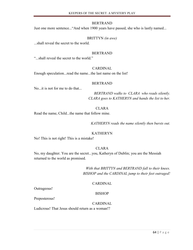## BERTRAND

Just one more sentence..."And when 1900 years have passed, she who is lastly named...

#### BRITTYN *(in awe)*

...shall reveal the secret to the world.

#### BERTRAND

"...shall reveal the secret to the world."

## CARDINAL

Enough speculation...read the name...the last name on the list!

#### BERTRAND

No...it is not for me to do that...

*BERTRAND walks to CLARA who reads silently. CLARA goes to KATHERYN and hands the list to her.*

#### CLARA

Read the name, Child...the name that follow mine.

*KATHERYN reads the name silently then bursts out.*

#### KATHERYN

No! This is not right! This is a mistake!

#### CLARA

No, my daughter. You are the secret...you, Katheryn of Dublin; you are the Messiah returned to the world as promised.

> *With that BRITTYN and BERTRAND fall to their knees. BISHOP and the CARDINAL jump to their feet outraged!*

#### CARDINAL

Outrageous!

#### BISHOP

Preposterous!

## CARDINAL

Ludicrous! That Jesus should return as a woman!?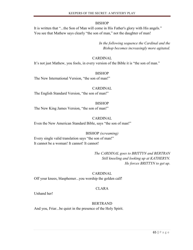It is written that "...the Son of Man will come in His Father's glory with His angels." You see that Mathew says clearly "the son of man," not the daughter of man!

> *In the following sequence the Cardinal and the Bishop becomes increasingly more agitated.*

## CARDINAL

It's not just Mathew, you fools, in every version of the Bible it is "the son of man."

## BISHOP

The New International Version, "the son of man!"

## CARDINAL

The English Standard Version, "the son of man!"

## BISHOP

The New King James Version, "the son of man!"

## CARDINAL

Even the New American Standard Bible, says "the son of man!"

## BISHOP *(screaming)*

Every single valid translation says "the son of man!" It cannot be a woman! It cannot! It cannot!

> *The CARDINAL goes to BRITTYN and BERTRAN Still kneeling and looking up at KATHERYN. He forces BRITTYN to get up*.

## CARDINAL

Off your knees, blasphemer...you worship the golden calf!

## CLARA

Unhand her!

## BERTRAND

And you, Friar...be quiet in the presence of the Holy Spirit.